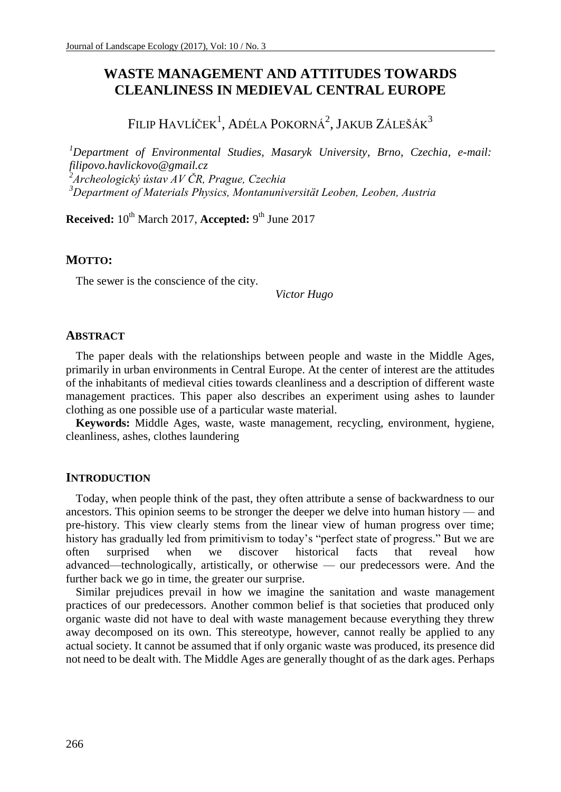# **WASTE MANAGEMENT AND ATTITUDES TOWARDS CLEANLINESS IN MEDIEVAL CENTRAL EUROPE**

Filip Havlíček<sup>1</sup>, Adéla Pokorná<sup>2</sup>, Jakub Zálešák<sup>3</sup>

*Department of Environmental Studies, Masaryk University, Brno, Czechia, e-mail: filipovo.havlickovo@gmail.cz Archeologický ústav AV ČR, Prague, Czechia Department of Materials Physics, Montanuniversität Leoben, Leoben, Austria*

**Received:**  $10^{th}$  March 2017, **Accepted:** 9<sup>th</sup> June 2017

## **MOTTO:**

The sewer is the conscience of the city.

*Victor Hugo*

#### **ABSTRACT**

The paper deals with the relationships between people and waste in the Middle Ages, primarily in urban environments in Central Europe. At the center of interest are the attitudes of the inhabitants of medieval cities towards cleanliness and a description of different waste management practices. This paper also describes an experiment using ashes to launder clothing as one possible use of a particular waste material.

**Keywords:** Middle Ages, waste, waste management, recycling, environment, hygiene, cleanliness, ashes, clothes laundering

#### **INTRODUCTION**

Today, when people think of the past, they often attribute a sense of backwardness to our ancestors. This opinion seems to be stronger the deeper we delve into human history — and pre-history. This view clearly stems from the linear view of human progress over time; history has gradually led from primitivism to today's "perfect state of progress." But we are often surprised when we discover historical facts that reveal how advanced—technologically, artistically, or otherwise — our predecessors were. And the further back we go in time, the greater our surprise.

Similar prejudices prevail in how we imagine the sanitation and waste management practices of our predecessors. Another common belief is that societies that produced only organic waste did not have to deal with waste management because everything they threw away decomposed on its own. This stereotype, however, cannot really be applied to any actual society. It cannot be assumed that if only organic waste was produced, its presence did not need to be dealt with. The Middle Ages are generally thought of as the dark ages. Perhaps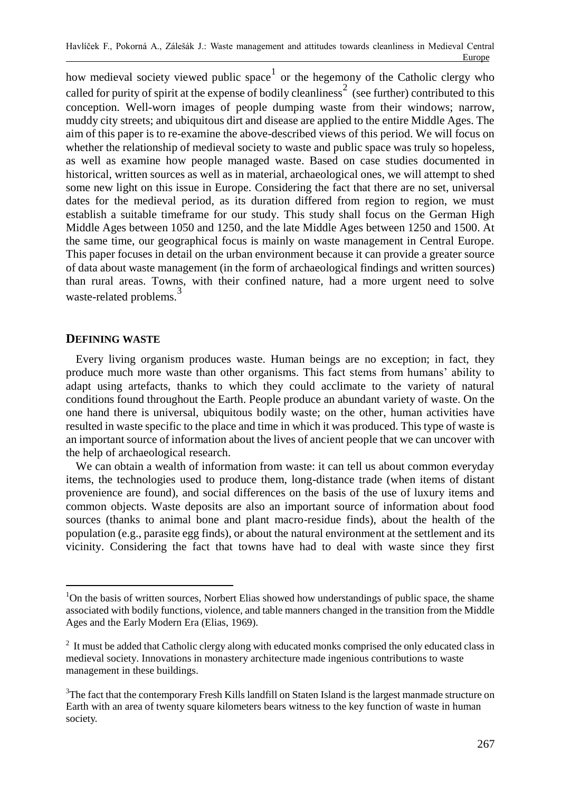how medieval society viewed public space<sup>1</sup> or the hegemony of the Catholic clergy who called for purity of spirit at the expense of bodily cleanliness<sup>2</sup> (see further) contributed to this conception. Well-worn images of people dumping waste from their windows; narrow, muddy city streets; and ubiquitous dirt and disease are applied to the entire Middle Ages. The aim of this paper is to re-examine the above-described views of this period. We will focus on whether the relationship of medieval society to waste and public space was truly so hopeless, as well as examine how people managed waste. Based on case studies documented in historical, written sources as well as in material, archaeological ones, we will attempt to shed some new light on this issue in Europe. Considering the fact that there are no set, universal dates for the medieval period, as its duration differed from region to region, we must establish a suitable timeframe for our study. This study shall focus on the German High Middle Ages between 1050 and 1250, and the late Middle Ages between 1250 and 1500. At the same time, our geographical focus is mainly on waste management in Central Europe. This paper focuses in detail on the urban environment because it can provide a greater source of data about waste management (in the form of archaeological findings and written sources) than rural areas. Towns, with their confined nature, had a more urgent need to solve waste-related problems.<sup>3</sup>

## **DEFINING WASTE**

 $\overline{a}$ 

Every living organism produces waste. Human beings are no exception; in fact, they produce much more waste than other organisms. This fact stems from humans' ability to adapt using artefacts, thanks to which they could acclimate to the variety of natural conditions found throughout the Earth. People produce an abundant variety of waste. On the one hand there is universal, ubiquitous bodily waste; on the other, human activities have resulted in waste specific to the place and time in which it was produced. This type of waste is an important source of information about the lives of ancient people that we can uncover with the help of archaeological research.

We can obtain a wealth of information from waste: it can tell us about common everyday items, the technologies used to produce them, long-distance trade (when items of distant provenience are found), and social differences on the basis of the use of luxury items and common objects. Waste deposits are also an important source of information about food sources (thanks to animal bone and plant macro-residue finds), about the health of the population (e.g., parasite egg finds), or about the natural environment at the settlement and its vicinity. Considering the fact that towns have had to deal with waste since they first

<sup>&</sup>lt;sup>1</sup>On the basis of written sources, Norbert Elias showed how understandings of public space, the shame associated with bodily functions, violence, and table manners changed in the transition from the Middle Ages and the Early Modern Era (Elias, 1969).

 $2$  It must be added that Catholic clergy along with educated monks comprised the only educated class in medieval society. Innovations in monastery architecture made ingenious contributions to waste management in these buildings.

<sup>&</sup>lt;sup>3</sup>The fact that the contemporary Fresh Kills landfill on Staten Island is the largest manmade structure on Earth with an area of twenty square kilometers bears witness to the key function of waste in human society.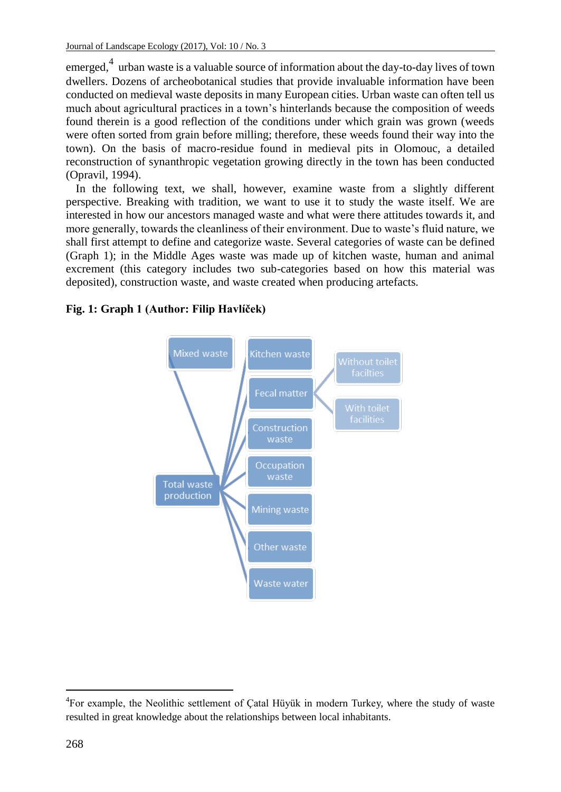emerged,<sup>4</sup> urban waste is a valuable source of information about the day-to-day lives of town dwellers. Dozens of archeobotanical studies that provide invaluable information have been conducted on medieval waste deposits in many European cities. Urban waste can often tell us much about agricultural practices in a town's hinterlands because the composition of weeds found therein is a good reflection of the conditions under which grain was grown (weeds were often sorted from grain before milling; therefore, these weeds found their way into the town). On the basis of macro-residue found in medieval pits in Olomouc, a detailed reconstruction of synanthropic vegetation growing directly in the town has been conducted (Opravil, 1994).

In the following text, we shall, however, examine waste from a slightly different perspective. Breaking with tradition, we want to use it to study the waste itself. We are interested in how our ancestors managed waste and what were there attitudes towards it, and more generally, towards the cleanliness of their environment. Due to waste's fluid nature, we shall first attempt to define and categorize waste. Several categories of waste can be defined (Graph 1); in the Middle Ages waste was made up of kitchen waste, human and animal excrement (this category includes two sub-categories based on how this material was deposited), construction waste, and waste created when producing artefacts.

## **Fig. 1: Graph 1 (Author: Filip Havlíček)**



 $\overline{a}$ 4 For example, the Neolithic settlement of Çatal Hüyük in modern Turkey, where the study of waste resulted in great knowledge about the relationships between local inhabitants.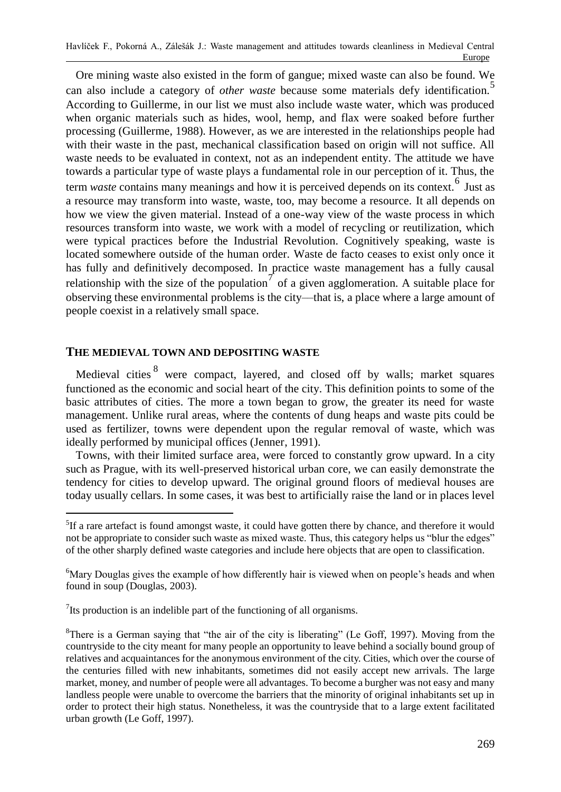Ore mining waste also existed in the form of gangue; mixed waste can also be found. We can also include a category of *other* waste because some materials defy identification.<sup>5</sup> According to Guillerme, in our list we must also include waste water, which was produced when organic materials such as hides, wool, hemp, and flax were soaked before further processing (Guillerme, 1988). However, as we are interested in the relationships people had with their waste in the past, mechanical classification based on origin will not suffice. All waste needs to be evaluated in context, not as an independent entity. The attitude we have towards a particular type of waste plays a fundamental role in our perception of it. Thus, the term *waste* contains many meanings and how it is perceived depends on its context.<sup>6</sup> Just as a resource may transform into waste, waste, too, may become a resource. It all depends on how we view the given material. Instead of a one-way view of the waste process in which resources transform into waste, we work with a model of recycling or reutilization, which were typical practices before the Industrial Revolution. Cognitively speaking, waste is located somewhere outside of the human order. Waste de facto ceases to exist only once it has fully and definitively decomposed. In practice waste management has a fully causal relationship with the size of the population<sup>7</sup> of a given agglomeration. A suitable place for observing these environmental problems is the city––that is, a place where a large amount of people coexist in a relatively small space.

## **THE MEDIEVAL TOWN AND DEPOSITING WASTE**

 $\overline{a}$ 

Medieval cities <sup>8</sup> were compact, layered, and closed off by walls; market squares functioned as the economic and social heart of the city. This definition points to some of the basic attributes of cities. The more a town began to grow, the greater its need for waste management. Unlike rural areas, where the contents of dung heaps and waste pits could be used as fertilizer, towns were dependent upon the regular removal of waste, which was ideally performed by municipal offices (Jenner, 1991).

Towns, with their limited surface area, were forced to constantly grow upward. In a city such as Prague, with its well-preserved historical urban core, we can easily demonstrate the tendency for cities to develop upward. The original ground floors of medieval houses are today usually cellars. In some cases, it was best to artificially raise the land or in places level

 $7$ Its production is an indelible part of the functioning of all organisms.

<sup>&</sup>lt;sup>5</sup>If a rare artefact is found amongst waste, it could have gotten there by chance, and therefore it would not be appropriate to consider such waste as mixed waste. Thus, this category helps us "blur the edges" of the other sharply defined waste categories and include here objects that are open to classification.

<sup>6</sup>Mary Douglas gives the example of how differently hair is viewed when on people's heads and when found in soup (Douglas, 2003).

 ${}^{8}$ There is a German saying that "the air of the city is liberating" (Le Goff, 1997). Moving from the countryside to the city meant for many people an opportunity to leave behind a socially bound group of relatives and acquaintances for the anonymous environment of the city. Cities, which over the course of the centuries filled with new inhabitants, sometimes did not easily accept new arrivals. The large market, money, and number of people were all advantages. To become a burgher was not easy and many landless people were unable to overcome the barriers that the minority of original inhabitants set up in order to protect their high status. Nonetheless, it was the countryside that to a large extent facilitated urban growth (Le Goff, 1997).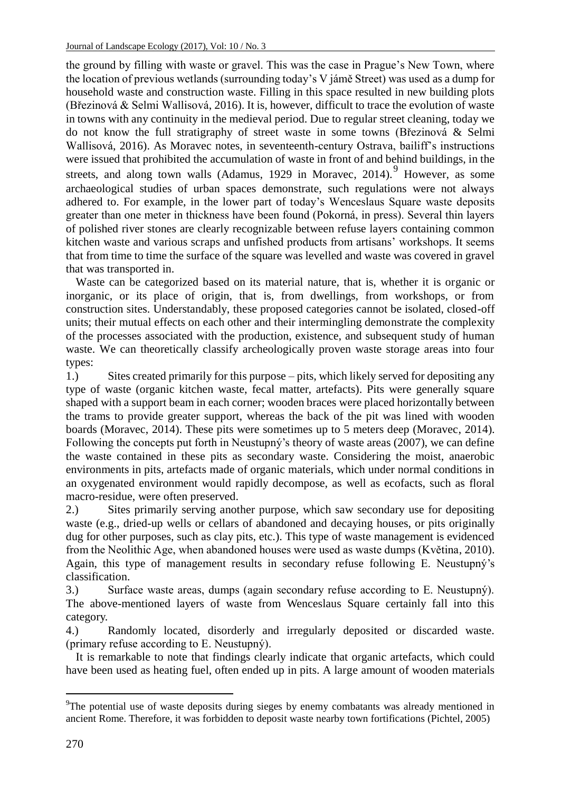the ground by filling with waste or gravel. This was the case in Prague's New Town, where the location of previous wetlands (surrounding today's V jámě Street) was used as a dump for household waste and construction waste. Filling in this space resulted in new building plots (Březinová & Selmi Wallisová, 2016). It is, however, difficult to trace the evolution of waste in towns with any continuity in the medieval period. Due to regular street cleaning, today we do not know the full stratigraphy of street waste in some towns (Březinová & Selmi Wallisová, 2016). As Moravec notes, in seventeenth-century Ostrava, bailiff's instructions were issued that prohibited the accumulation of waste in front of and behind buildings, in the streets, and along town walls (Adamus, 1929 in Moravec, 2014). <sup>9</sup> However, as some archaeological studies of urban spaces demonstrate, such regulations were not always adhered to. For example, in the lower part of today's Wenceslaus Square waste deposits greater than one meter in thickness have been found (Pokorná, in press). Several thin layers of polished river stones are clearly recognizable between refuse layers containing common kitchen waste and various scraps and unfished products from artisans' workshops. It seems that from time to time the surface of the square was levelled and waste was covered in gravel that was transported in.

Waste can be categorized based on its material nature, that is, whether it is organic or inorganic, or its place of origin, that is, from dwellings, from workshops, or from construction sites. Understandably, these proposed categories cannot be isolated, closed-off units; their mutual effects on each other and their intermingling demonstrate the complexity of the processes associated with the production, existence, and subsequent study of human waste. We can theoretically classify archeologically proven waste storage areas into four types:

1.) Sites created primarily for this purpose – pits, which likely served for depositing any type of waste (organic kitchen waste, fecal matter, artefacts). Pits were generally square shaped with a support beam in each corner; wooden braces were placed horizontally between the trams to provide greater support, whereas the back of the pit was lined with wooden boards (Moravec, 2014). These pits were sometimes up to 5 meters deep (Moravec, 2014). Following the concepts put forth in Neustupný's theory of waste areas (2007), we can define the waste contained in these pits as secondary waste. Considering the moist, anaerobic environments in pits, artefacts made of organic materials, which under normal conditions in an oxygenated environment would rapidly decompose, as well as ecofacts, such as floral macro-residue, were often preserved.

2.) Sites primarily serving another purpose, which saw secondary use for depositing waste (e.g., dried-up wells or cellars of abandoned and decaying houses, or pits originally dug for other purposes, such as clay pits, etc.). This type of waste management is evidenced from the Neolithic Age, when abandoned houses were used as waste dumps (Květina, 2010). Again, this type of management results in secondary refuse following E. Neustupný's classification.

3.) Surface waste areas, dumps (again secondary refuse according to E. Neustupný). The above-mentioned layers of waste from Wenceslaus Square certainly fall into this category.

4.) Randomly located, disorderly and irregularly deposited or discarded waste. (primary refuse according to E. Neustupný).

It is remarkable to note that findings clearly indicate that organic artefacts, which could have been used as heating fuel, often ended up in pits. A large amount of wooden materials

<sup>&</sup>lt;sup>9</sup>The potential use of waste deposits during sieges by enemy combatants was already mentioned in ancient Rome. Therefore, it was forbidden to deposit waste nearby town fortifications (Pichtel, 2005)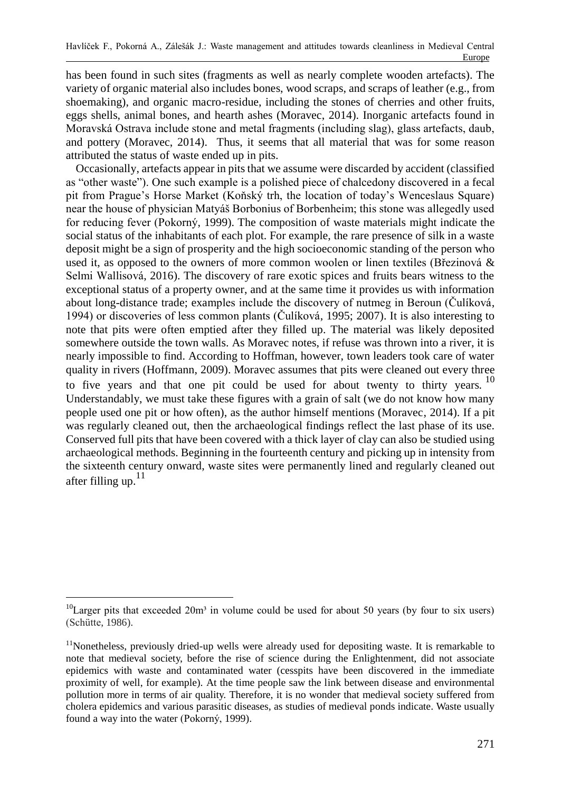has been found in such sites (fragments as well as nearly complete wooden artefacts). The variety of organic material also includes bones, wood scraps, and scraps of leather (e.g., from shoemaking), and organic macro-residue, including the stones of cherries and other fruits, eggs shells, animal bones, and hearth ashes (Moravec, 2014). Inorganic artefacts found in Moravská Ostrava include stone and metal fragments (including slag), glass artefacts, daub, and pottery (Moravec, 2014). Thus, it seems that all material that was for some reason attributed the status of waste ended up in pits.

Occasionally, artefacts appear in pits that we assume were discarded by accident (classified as "other waste"). One such example is a polished piece of chalcedony discovered in a fecal pit from Prague's Horse Market (Koňský trh, the location of today's Wenceslaus Square) near the house of physician Matyáš Borbonius of Borbenheim; this stone was allegedly used for reducing fever (Pokorný, 1999). The composition of waste materials might indicate the social status of the inhabitants of each plot. For example, the rare presence of silk in a waste deposit might be a sign of prosperity and the high socioeconomic standing of the person who used it, as opposed to the owners of more common woolen or linen textiles (Březinová & Selmi Wallisová, 2016). The discovery of rare exotic spices and fruits bears witness to the exceptional status of a property owner, and at the same time it provides us with information about long-distance trade; examples include the discovery of nutmeg in Beroun (Čulíková, 1994) or discoveries of less common plants (Čulíková, 1995; 2007). It is also interesting to note that pits were often emptied after they filled up. The material was likely deposited somewhere outside the town walls. As Moravec notes, if refuse was thrown into a river, it is nearly impossible to find. According to Hoffman, however, town leaders took care of water quality in rivers (Hoffmann, 2009). Moravec assumes that pits were cleaned out every three to five years and that one pit could be used for about twenty to thirty years.<sup>10</sup> Understandably, we must take these figures with a grain of salt (we do not know how many people used one pit or how often), as the author himself mentions (Moravec, 2014). If a pit was regularly cleaned out, then the archaeological findings reflect the last phase of its use. Conserved full pits that have been covered with a thick layer of clay can also be studied using archaeological methods. Beginning in the fourteenth century and picking up in intensity from the sixteenth century onward, waste sites were permanently lined and regularly cleaned out after filling up. $11$ 

 $10$ Larger pits that exceeded 20m<sup>3</sup> in volume could be used for about 50 years (by four to six users) (Schütte, 1986).

<sup>&</sup>lt;sup>11</sup>Nonetheless, previously dried-up wells were already used for depositing waste. It is remarkable to note that medieval society, before the rise of science during the Enlightenment, did not associate epidemics with waste and contaminated water (cesspits have been discovered in the immediate proximity of well, for example). At the time people saw the link between disease and environmental pollution more in terms of air quality. Therefore, it is no wonder that medieval society suffered from cholera epidemics and various parasitic diseases, as studies of medieval ponds indicate. Waste usually found a way into the water (Pokorný, 1999).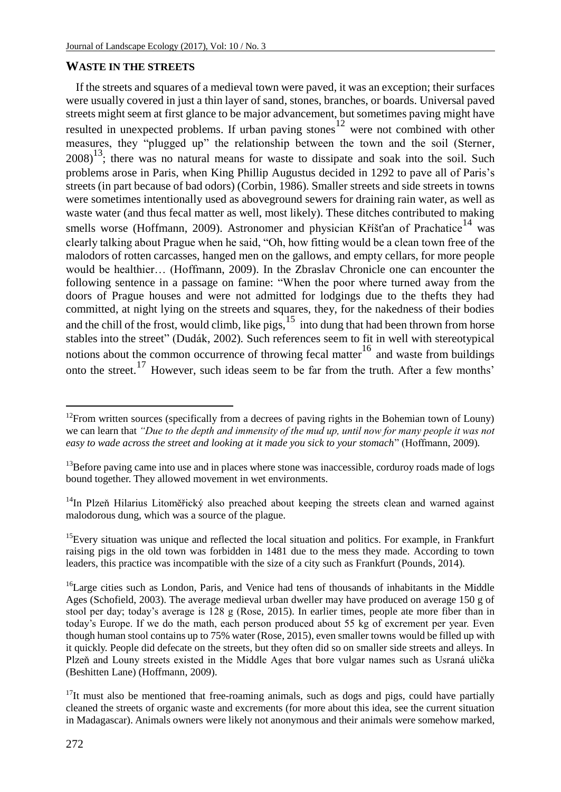## **WASTE IN THE STREETS**

If the streets and squares of a medieval town were paved, it was an exception; their surfaces were usually covered in just a thin layer of sand, stones, branches, or boards. Universal paved streets might seem at first glance to be major advancement, but sometimes paving might have resulted in unexpected problems. If urban paving stones<sup>12</sup> were not combined with other measures, they "plugged up" the relationship between the town and the soil (Sterner,  $2008$ <sup>13</sup>; there was no natural means for waste to dissipate and soak into the soil. Such problems arose in Paris, when King Phillip Augustus decided in 1292 to pave all of Paris's streets (in part because of bad odors) (Corbin, 1986). Smaller streets and side streets in towns were sometimes intentionally used as aboveground sewers for draining rain water, as well as waste water (and thus fecal matter as well, most likely). These ditches contributed to making smells worse (Hoffmann, 2009). Astronomer and physician Kříšťan of Prachatice<sup>14</sup> was clearly talking about Prague when he said, "Oh, how fitting would be a clean town free of the malodors of rotten carcasses, hanged men on the gallows, and empty cellars, for more people would be healthier… (Hoffmann, 2009). In the Zbraslav Chronicle one can encounter the following sentence in a passage on famine: "When the poor where turned away from the doors of Prague houses and were not admitted for lodgings due to the thefts they had committed, at night lying on the streets and squares, they, for the nakedness of their bodies and the chill of the frost, would climb, like pigs,  $\frac{15}{15}$  into dung that had been thrown from horse stables into the street" (Dudák, 2002)*.* Such references seem to fit in well with stereotypical notions about the common occurrence of throwing fecal matter<sup>16</sup> and waste from buildings onto the street.<sup>17</sup> However, such ideas seem to be far from the truth. After a few months'

l

<sup>&</sup>lt;sup>12</sup>From written sources (specifically from a decrees of paving rights in the Bohemian town of Louny) we can learn that *"Due to the depth and immensity of the mud up, until now for many people it was not easy to wade across the street and looking at it made you sick to your stomach*" (Hoffmann, 2009)*.*

 $<sup>13</sup>$ Before paving came into use and in places where stone was inaccessible, corduroy roads made of logs</sup> bound together. They allowed movement in wet environments.

 $14$ In Plzeň Hilarius Litoměřický also preached about keeping the streets clean and warned against malodorous dung, which was a source of the plague.

 $15$ Every situation was unique and reflected the local situation and politics. For example, in Frankfurt raising pigs in the old town was forbidden in 1481 due to the mess they made. According to town leaders, this practice was incompatible with the size of a city such as Frankfurt (Pounds, 2014).

<sup>&</sup>lt;sup>16</sup>Large cities such as London, Paris, and Venice had tens of thousands of inhabitants in the Middle Ages (Schofield, 2003). The average medieval urban dweller may have produced on average 150 g of stool per day; today's average is 128 g (Rose, 2015). In earlier times, people ate more fiber than in today's Europe. If we do the math, each person produced about 55 kg of excrement per year. Even though human stool contains up to 75% water (Rose, 2015), even smaller towns would be filled up with it quickly. People did defecate on the streets, but they often did so on smaller side streets and alleys. In Plzeň and Louny streets existed in the Middle Ages that bore vulgar names such as Usraná ulička (Beshitten Lane) (Hoffmann, 2009).

 $17$ It must also be mentioned that free-roaming animals, such as dogs and pigs, could have partially cleaned the streets of organic waste and excrements (for more about this idea, see the current situation in Madagascar). Animals owners were likely not anonymous and their animals were somehow marked,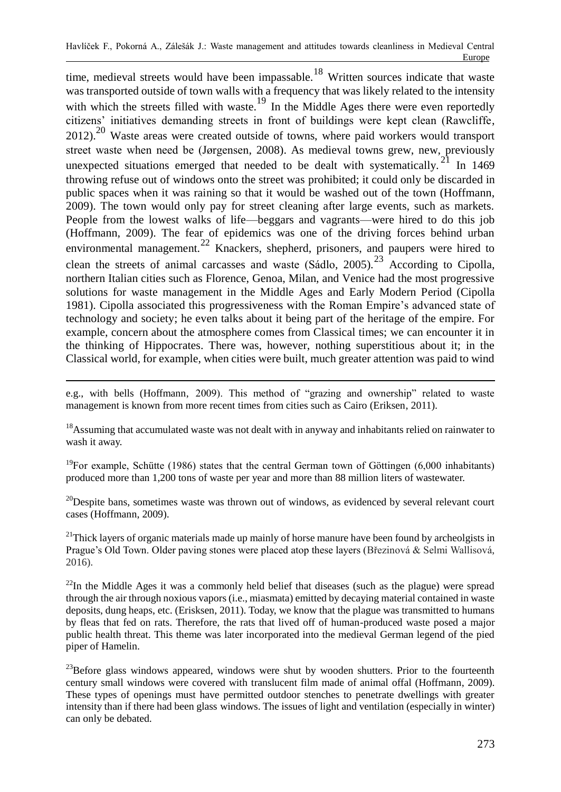time, medieval streets would have been impassable.<sup>18</sup> Written sources indicate that waste was transported outside of town walls with a frequency that was likely related to the intensity with which the streets filled with waste.<sup>19</sup> In the Middle Ages there were even reportedly citizens' initiatives demanding streets in front of buildings were kept clean (Rawcliffe, 2012).<sup>20</sup> Waste areas were created outside of towns, where paid workers would transport street waste when need be (Jørgensen, 2008). As medieval towns grew, new, previously unexpected situations emerged that needed to be dealt with systematically.<sup>21</sup> In 1469 throwing refuse out of windows onto the street was prohibited; it could only be discarded in public spaces when it was raining so that it would be washed out of the town (Hoffmann, 2009). The town would only pay for street cleaning after large events, such as markets. People from the lowest walks of life—beggars and vagrants—were hired to do this job (Hoffmann, 2009). The fear of epidemics was one of the driving forces behind urban environmental management.<sup>22</sup> Knackers, shepherd, prisoners, and paupers were hired to clean the streets of animal carcasses and waste  $(Sádlo, 2005)$ .<sup>23</sup> According to Cipolla, northern Italian cities such as Florence, Genoa, Milan, and Venice had the most progressive solutions for waste management in the Middle Ages and Early Modern Period (Cipolla 1981). Cipolla associated this progressiveness with the Roman Empire's advanced state of technology and society; he even talks about it being part of the heritage of the empire. For example, concern about the atmosphere comes from Classical times; we can encounter it in the thinking of Hippocrates. There was, however, nothing superstitious about it; in the Classical world, for example, when cities were built, much greater attention was paid to wind

 $\overline{a}$ e.g., with bells (Hoffmann, 2009). This method of "grazing and ownership" related to waste management is known from more recent times from cities such as Cairo (Eriksen, 2011).

<sup>18</sup>Assuming that accumulated waste was not dealt with in anyway and inhabitants relied on rainwater to wash it away.

<sup>19</sup>For example, Schütte (1986) states that the central German town of Göttingen (6,000 inhabitants) produced more than 1,200 tons of waste per year and more than 88 million liters of wastewater.

 $^{20}$ Despite bans, sometimes waste was thrown out of windows, as evidenced by several relevant court cases (Hoffmann, 2009).

 $21$ Thick layers of organic materials made up mainly of horse manure have been found by archeolgists in Prague's Old Town. Older paving stones were placed atop these layers (Březinová & Selmi Wallisová, 2016).

 $^{22}$ In the Middle Ages it was a commonly held belief that diseases (such as the plague) were spread through the air through noxious vapors (i.e., miasmata) emitted by decaying material contained in waste deposits, dung heaps, etc. (Erisksen, 2011). Today, we know that the plague was transmitted to humans by fleas that fed on rats. Therefore, the rats that lived off of human-produced waste posed a major public health threat. This theme was later incorporated into the medieval German legend of the pied piper of Hamelin.

 $23$ Before glass windows appeared, windows were shut by wooden shutters. Prior to the fourteenth century small windows were covered with translucent film made of animal offal (Hoffmann, 2009). These types of openings must have permitted outdoor stenches to penetrate dwellings with greater intensity than if there had been glass windows. The issues of light and ventilation (especially in winter) can only be debated.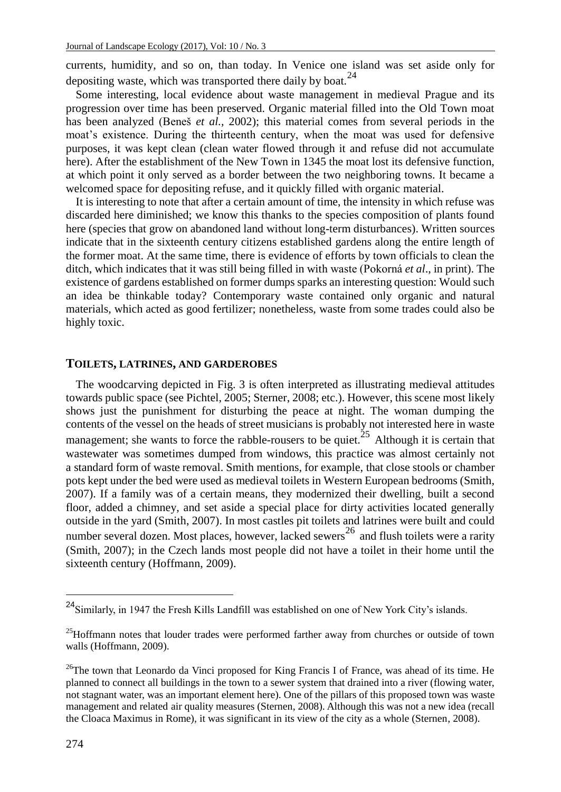currents, humidity, and so on, than today. In Venice one island was set aside only for depositing waste, which was transported there daily by boat.<sup>24</sup>

Some interesting, local evidence about waste management in medieval Prague and its progression over time has been preserved. Organic material filled into the Old Town moat has been analyzed (Beneš *et al.,* 2002); this material comes from several periods in the moat's existence. During the thirteenth century, when the moat was used for defensive purposes, it was kept clean (clean water flowed through it and refuse did not accumulate here). After the establishment of the New Town in 1345 the moat lost its defensive function, at which point it only served as a border between the two neighboring towns. It became a welcomed space for depositing refuse, and it quickly filled with organic material.

It is interesting to note that after a certain amount of time, the intensity in which refuse was discarded here diminished; we know this thanks to the species composition of plants found here (species that grow on abandoned land without long-term disturbances). Written sources indicate that in the sixteenth century citizens established gardens along the entire length of the former moat. At the same time, there is evidence of efforts by town officials to clean the ditch, which indicates that it was still being filled in with waste (Pokorná *et al*., in print). The existence of gardens established on former dumps sparks an interesting question: Would such an idea be thinkable today? Contemporary waste contained only organic and natural materials, which acted as good fertilizer; nonetheless, waste from some trades could also be highly toxic.

#### **TOILETS, LATRINES, AND GARDEROBES**

The woodcarving depicted in Fig. 3 is often interpreted as illustrating medieval attitudes towards public space (see Pichtel, 2005; Sterner, 2008; etc.). However, this scene most likely shows just the punishment for disturbing the peace at night. The woman dumping the contents of the vessel on the heads of street musicians is probably not interested here in waste management; she wants to force the rabble-rousers to be quiet.<sup>25</sup> Although it is certain that wastewater was sometimes dumped from windows, this practice was almost certainly not a standard form of waste removal. Smith mentions, for example, that close stools or chamber pots kept under the bed were used as medieval toilets in Western European bedrooms (Smith, 2007). If a family was of a certain means, they modernized their dwelling, built a second floor, added a chimney, and set aside a special place for dirty activities located generally outside in the yard (Smith, 2007). In most castles pit toilets and latrines were built and could number several dozen. Most places, however, lacked sewers<sup>26</sup> and flush toilets were a rarity (Smith, 2007); in the Czech lands most people did not have a toilet in their home until the sixteenth century (Hoffmann, 2009).

<sup>24</sup>Similarly, in 1947 the Fresh Kills Landfill was established on one of New York City's islands.

 $25$ Hoffmann notes that louder trades were performed farther away from churches or outside of town walls (Hoffmann, 2009).

<sup>&</sup>lt;sup>26</sup>The town that Leonardo da Vinci proposed for King Francis I of France, was ahead of its time. He planned to connect all buildings in the town to a sewer system that drained into a river (flowing water, not stagnant water, was an important element here). One of the pillars of this proposed town was waste management and related air quality measures (Sternen, 2008). Although this was not a new idea (recall the Cloaca Maximus in Rome), it was significant in its view of the city as a whole (Sternen, 2008).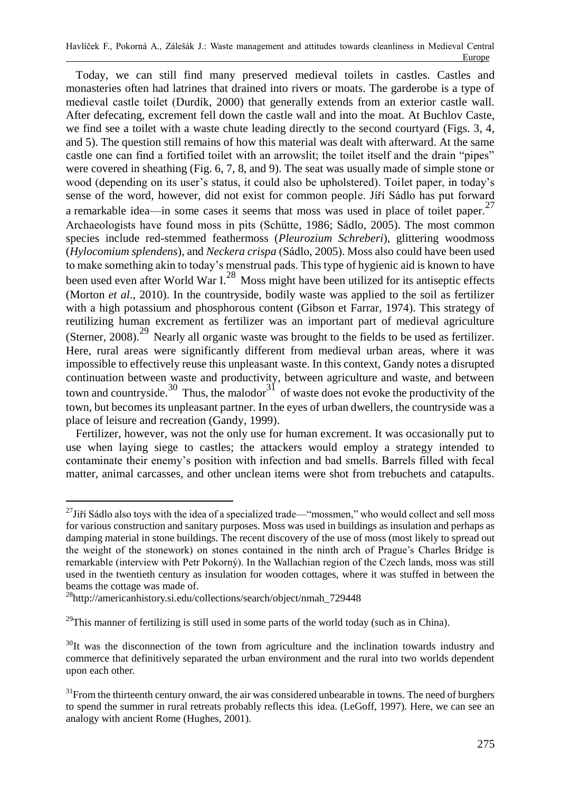Today, we can still find many preserved medieval toilets in castles. Castles and monasteries often had latrines that drained into rivers or moats. The garderobe is a type of medieval castle toilet (Durdík, 2000) that generally extends from an exterior castle wall. After defecating, excrement fell down the castle wall and into the moat. At Buchlov Caste, we find see a toilet with a waste chute leading directly to the second courtyard (Figs. 3, 4, and 5). The question still remains of how this material was dealt with afterward. At the same castle one can find a fortified toilet with an arrowslit; the toilet itself and the drain "pipes" were covered in sheathing (Fig. 6, 7, 8, and 9). The seat was usually made of simple stone or wood (depending on its user's status, it could also be upholstered). Toilet paper, in today's sense of the word, however, did not exist for common people. Jíří Sádlo has put forward a remarkable idea—in some cases it seems that moss was used in place of toilet paper.<sup>27</sup> Archaeologists have found moss in pits (Schütte, 1986; Sádlo, 2005). The most common species include red-stemmed feathermoss (*Pleurozium Schreberi*), glittering woodmoss (*Hylocomium splendens*), and *Neckera crispa* (Sádlo, 2005). Moss also could have been used to make something akin to today's menstrual pads. This type of hygienic aid is known to have been used even after World War I<sup>28</sup> Moss might have been utilized for its antiseptic effects (Morton *et al*., 2010). In the countryside, bodily waste was applied to the soil as fertilizer with a high potassium and phosphorous content (Gibson et Farrar, 1974). This strategy of reutilizing human excrement as fertilizer was an important part of medieval agriculture (Sterner, 2008).<sup>29</sup> Nearly all organic waste was brought to the fields to be used as fertilizer. Here, rural areas were significantly different from medieval urban areas, where it was impossible to effectively reuse this unpleasant waste. In this context, Gandy notes a disrupted continuation between waste and productivity, between agriculture and waste, and between town and countryside.<sup>30</sup> Thus, the malodor<sup>31</sup> of waste does not evoke the productivity of the town, but becomes its unpleasant partner. In the eyes of urban dwellers, the countryside was a place of leisure and recreation (Gandy, 1999).

Fertilizer, however, was not the only use for human excrement. It was occasionally put to use when laying siege to castles; the attackers would employ a strategy intended to contaminate their enemy's position with infection and bad smells. Barrels filled with fecal matter, animal carcasses, and other unclean items were shot from trebuchets and catapults.

 $\overline{a}$  $^{27}$ Jiří Sádlo also toys with the idea of a specialized trade—"mossmen," who would collect and sell moss for various construction and sanitary purposes. Moss was used in buildings as insulation and perhaps as damping material in stone buildings. The recent discovery of the use of moss (most likely to spread out the weight of the stonework) on stones contained in the ninth arch of Prague's Charles Bridge is remarkable (interview with Petr Pokorný). In the Wallachian region of the Czech lands, moss was still used in the twentieth century as insulation for wooden cottages, where it was stuffed in between the beams the cottage was made of.

<sup>&</sup>lt;sup>28</sup>http://americanhistory.si.edu/collections/search/object/nmah\_729448

 $29$ This manner of fertilizing is still used in some parts of the world today (such as in China).

 $30$ It was the disconnection of the town from agriculture and the inclination towards industry and commerce that definitively separated the urban environment and the rural into two worlds dependent upon each other.

 $31$ From the thirteenth century onward, the air was considered unbearable in towns. The need of burghers to spend the summer in rural retreats probably reflects this idea. (LeGoff, 1997). Here, we can see an analogy with ancient Rome (Hughes, 2001).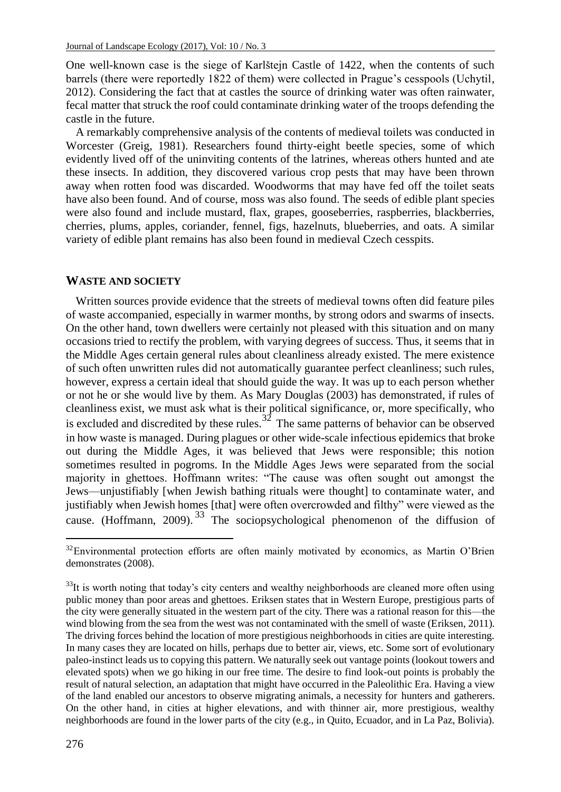One well-known case is the siege of Karlštejn Castle of 1422, when the contents of such barrels (there were reportedly 1822 of them) were collected in Prague's cesspools (Uchytil, 2012). Considering the fact that at castles the source of drinking water was often rainwater, fecal matter that struck the roof could contaminate drinking water of the troops defending the castle in the future.

A remarkably comprehensive analysis of the contents of medieval toilets was conducted in Worcester (Greig, 1981). Researchers found thirty-eight beetle species, some of which evidently lived off of the uninviting contents of the latrines, whereas others hunted and ate these insects. In addition, they discovered various crop pests that may have been thrown away when rotten food was discarded. Woodworms that may have fed off the toilet seats have also been found. And of course, moss was also found. The seeds of edible plant species were also found and include mustard, flax, grapes, gooseberries, raspberries, blackberries, cherries, plums, apples, coriander, fennel, figs, hazelnuts, blueberries, and oats. A similar variety of edible plant remains has also been found in medieval Czech cesspits.

#### **WASTE AND SOCIETY**

Written sources provide evidence that the streets of medieval towns often did feature piles of waste accompanied, especially in warmer months, by strong odors and swarms of insects. On the other hand, town dwellers were certainly not pleased with this situation and on many occasions tried to rectify the problem, with varying degrees of success. Thus, it seems that in the Middle Ages certain general rules about cleanliness already existed. The mere existence of such often unwritten rules did not automatically guarantee perfect cleanliness; such rules, however, express a certain ideal that should guide the way. It was up to each person whether or not he or she would live by them. As Mary Douglas (2003) has demonstrated, if rules of cleanliness exist, we must ask what is their political significance, or, more specifically, who is excluded and discredited by these rules.<sup>32</sup> The same patterns of behavior can be observed in how waste is managed. During plagues or other wide-scale infectious epidemics that broke out during the Middle Ages, it was believed that Jews were responsible; this notion sometimes resulted in pogroms. In the Middle Ages Jews were separated from the social majority in ghettoes. Hoffmann writes: "The cause was often sought out amongst the Jews—unjustifiably [when Jewish bathing rituals were thought] to contaminate water, and justifiably when Jewish homes [that] were often overcrowded and filthy" were viewed as the cause. (Hoffmann, 2009). <sup>33</sup> The sociopsychological phenomenon of the diffusion of

<sup>&</sup>lt;sup>32</sup>Environmental protection efforts are often mainly motivated by economics, as Martin O'Brien demonstrates (2008).

 $33$ It is worth noting that today's city centers and wealthy neighborhoods are cleaned more often using public money than poor areas and ghettoes. Eriksen states that in Western Europe, prestigious parts of the city were generally situated in the western part of the city. There was a rational reason for this—the wind blowing from the sea from the west was not contaminated with the smell of waste (Eriksen, 2011). The driving forces behind the location of more prestigious neighborhoods in cities are quite interesting. In many cases they are located on hills, perhaps due to better air, views, etc. Some sort of evolutionary paleo-instinct leads us to copying this pattern. We naturally seek out vantage points (lookout towers and elevated spots) when we go hiking in our free time. The desire to find look-out points is probably the result of natural selection, an adaptation that might have occurred in the Paleolithic Era. Having a view of the land enabled our ancestors to observe migrating animals, a necessity for hunters and gatherers. On the other hand, in cities at higher elevations, and with thinner air, more prestigious, wealthy neighborhoods are found in the lower parts of the city (e.g., in Quito, Ecuador, and in La Paz, Bolivia).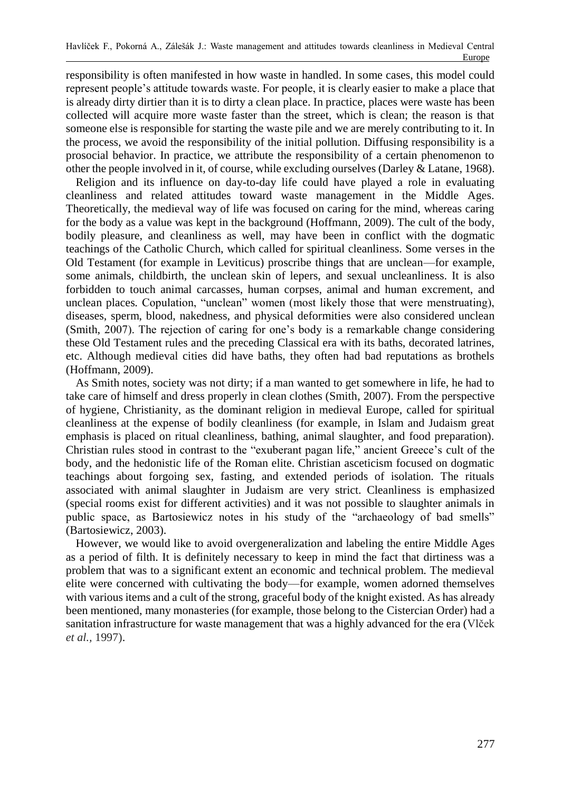responsibility is often manifested in how waste in handled. In some cases, this model could represent people's attitude towards waste. For people, it is clearly easier to make a place that is already dirty dirtier than it is to dirty a clean place. In practice, places were waste has been collected will acquire more waste faster than the street, which is clean; the reason is that someone else is responsible for starting the waste pile and we are merely contributing to it. In the process, we avoid the responsibility of the initial pollution. Diffusing responsibility is a prosocial behavior. In practice, we attribute the responsibility of a certain phenomenon to other the people involved in it, of course, while excluding ourselves (Darley & Latane, 1968).

Religion and its influence on day-to-day life could have played a role in evaluating cleanliness and related attitudes toward waste management in the Middle Ages. Theoretically, the medieval way of life was focused on caring for the mind, whereas caring for the body as a value was kept in the background (Hoffmann, 2009). The cult of the body, bodily pleasure, and cleanliness as well, may have been in conflict with the dogmatic teachings of the Catholic Church, which called for spiritual cleanliness. Some verses in the Old Testament (for example in Leviticus) proscribe things that are unclean—for example, some animals, childbirth, the unclean skin of lepers, and sexual uncleanliness. It is also forbidden to touch animal carcasses, human corpses, animal and human excrement, and unclean places*.* Copulation, "unclean" women (most likely those that were menstruating), diseases, sperm, blood, nakedness, and physical deformities were also considered unclean (Smith, 2007). The rejection of caring for one's body is a remarkable change considering these Old Testament rules and the preceding Classical era with its baths, decorated latrines, etc. Although medieval cities did have baths, they often had bad reputations as brothels (Hoffmann, 2009).

As Smith notes, society was not dirty; if a man wanted to get somewhere in life, he had to take care of himself and dress properly in clean clothes (Smith, 2007). From the perspective of hygiene, Christianity, as the dominant religion in medieval Europe, called for spiritual cleanliness at the expense of bodily cleanliness (for example, in Islam and Judaism great emphasis is placed on ritual cleanliness, bathing, animal slaughter, and food preparation). Christian rules stood in contrast to the "exuberant pagan life," ancient Greece's cult of the body, and the hedonistic life of the Roman elite. Christian asceticism focused on dogmatic teachings about forgoing sex, fasting, and extended periods of isolation. The rituals associated with animal slaughter in Judaism are very strict. Cleanliness is emphasized (special rooms exist for different activities) and it was not possible to slaughter animals in public space, as Bartosiewicz notes in his study of the "archaeology of bad smells" (Bartosiewicz, 2003).

However, we would like to avoid overgeneralization and labeling the entire Middle Ages as a period of filth. It is definitely necessary to keep in mind the fact that dirtiness was a problem that was to a significant extent an economic and technical problem. The medieval elite were concerned with cultivating the body—for example, women adorned themselves with various items and a cult of the strong, graceful body of the knight existed. As has already been mentioned, many monasteries (for example, those belong to the Cistercian Order) had a sanitation infrastructure for waste management that was a highly advanced for the era (Vlček *et al.,* 1997).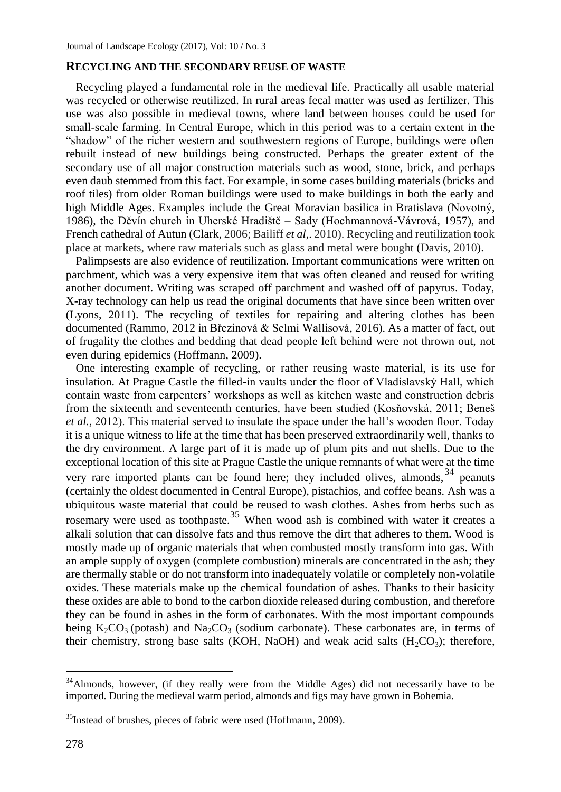## **RECYCLING AND THE SECONDARY REUSE OF WASTE**

Recycling played a fundamental role in the medieval life. Practically all usable material was recycled or otherwise reutilized. In rural areas fecal matter was used as fertilizer. This use was also possible in medieval towns, where land between houses could be used for small-scale farming. In Central Europe, which in this period was to a certain extent in the "shadow" of the richer western and southwestern regions of Europe, buildings were often rebuilt instead of new buildings being constructed. Perhaps the greater extent of the secondary use of all major construction materials such as wood, stone, brick, and perhaps even daub stemmed from this fact. For example, in some cases building materials (bricks and roof tiles) from older Roman buildings were used to make buildings in both the early and high Middle Ages. Examples include the Great Moravian basilica in Bratislava (Novotný, 1986), the Děvín church in Uherské Hradiště – Sady (Hochmannová-Vávrová, 1957), and French cathedral of Autun (Clark, 2006; Bailiff *et al*,. 2010). Recycling and reutilization took place at markets, where raw materials such as glass and metal were bought (Davis, 2010).

Palimpsests are also evidence of reutilization. Important communications were written on parchment, which was a very expensive item that was often cleaned and reused for writing another document. Writing was scraped off parchment and washed off of papyrus. Today, X-ray technology can help us read the original documents that have since been written over (Lyons, 2011). The recycling of textiles for repairing and altering clothes has been documented (Rammo, 2012 in Březinová & Selmi Wallisová, 2016). As a matter of fact, out of frugality the clothes and bedding that dead people left behind were not thrown out, not even during epidemics (Hoffmann, 2009).

One interesting example of recycling, or rather reusing waste material, is its use for insulation. At Prague Castle the filled-in vaults under the floor of Vladislavský Hall, which contain waste from carpenters' workshops as well as kitchen waste and construction debris from the sixteenth and seventeenth centuries, have been studied (Kosňovská, 2011; Beneš *et al.,* 2012). This material served to insulate the space under the hall's wooden floor. Today it is a unique witness to life at the time that has been preserved extraordinarily well, thanks to the dry environment. A large part of it is made up of plum pits and nut shells. Due to the exceptional location of this site at Prague Castle the unique remnants of what were at the time very rare imported plants can be found here; they included olives, almonds,  $34$  peanuts (certainly the oldest documented in Central Europe), pistachios, and coffee beans. Ash was a ubiquitous waste material that could be reused to wash clothes. Ashes from herbs such as rosemary were used as toothpaste.<sup>35</sup> When wood ash is combined with water it creates a alkali solution that can dissolve fats and thus remove the dirt that adheres to them. Wood is mostly made up of organic materials that when combusted mostly transform into gas. With an ample supply of oxygen (complete combustion) minerals are concentrated in the ash; they are thermally stable or do not transform into inadequately volatile or completely non-volatile oxides. These materials make up the chemical foundation of ashes. Thanks to their basicity these oxides are able to bond to the carbon dioxide released during combustion, and therefore they can be found in ashes in the form of carbonates. With the most important compounds being  $K_2CO_3$  (potash) and  $Na_2CO_3$  (sodium carbonate). These carbonates are, in terms of their chemistry, strong base salts (KOH, NaOH) and weak acid salts  $(H_2CO_3)$ ; therefore,

l

<sup>&</sup>lt;sup>34</sup>Almonds, however, (if they really were from the Middle Ages) did not necessarily have to be imported. During the medieval warm period, almonds and figs may have grown in Bohemia.

<sup>&</sup>lt;sup>35</sup>Instead of brushes, pieces of fabric were used (Hoffmann, 2009).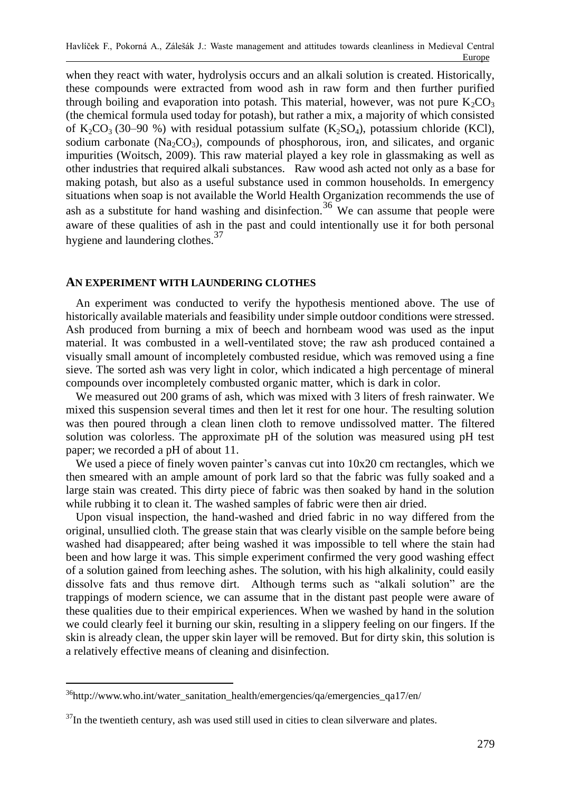when they react with water, hydrolysis occurs and an alkali solution is created. Historically, these compounds were extracted from wood ash in raw form and then further purified through boiling and evaporation into potash. This material, however, was not pure  $K_2CO_3$ (the chemical formula used today for potash), but rather a mix, a majority of which consisted of K<sub>2</sub>CO<sub>3</sub> (30–90 %) with residual potassium sulfate (K<sub>2</sub>SO<sub>4</sub>), potassium chloride (KCl), sodium carbonate  $(Na_2CO_3)$ , compounds of phosphorous, iron, and silicates, and organic impurities (Woitsch, 2009). This raw material played a key role in glassmaking as well as other industries that required alkali substances. Raw wood ash acted not only as a base for making potash, but also as a useful substance used in common households. In emergency situations when soap is not available the World Health Organization recommends the use of ash as a substitute for hand washing and disinfection.<sup>36</sup> We can assume that people were aware of these qualities of ash in the past and could intentionally use it for both personal hygiene and laundering clothes.<sup>37</sup>

## **AN EXPERIMENT WITH LAUNDERING CLOTHES**

An experiment was conducted to verify the hypothesis mentioned above. The use of historically available materials and feasibility under simple outdoor conditions were stressed. Ash produced from burning a mix of beech and hornbeam wood was used as the input material. It was combusted in a well-ventilated stove; the raw ash produced contained a visually small amount of incompletely combusted residue, which was removed using a fine sieve. The sorted ash was very light in color, which indicated a high percentage of mineral compounds over incompletely combusted organic matter, which is dark in color.

We measured out 200 grams of ash, which was mixed with 3 liters of fresh rainwater. We mixed this suspension several times and then let it rest for one hour. The resulting solution was then poured through a clean linen cloth to remove undissolved matter. The filtered solution was colorless. The approximate pH of the solution was measured using pH test paper; we recorded a pH of about 11.

We used a piece of finely woven painter's canvas cut into  $10x20$  cm rectangles, which we then smeared with an ample amount of pork lard so that the fabric was fully soaked and a large stain was created. This dirty piece of fabric was then soaked by hand in the solution while rubbing it to clean it. The washed samples of fabric were then air dried.

Upon visual inspection, the hand-washed and dried fabric in no way differed from the original, unsullied cloth. The grease stain that was clearly visible on the sample before being washed had disappeared; after being washed it was impossible to tell where the stain had been and how large it was. This simple experiment confirmed the very good washing effect of a solution gained from leeching ashes. The solution, with his high alkalinity, could easily dissolve fats and thus remove dirt. Although terms such as "alkali solution" are the trappings of modern science, we can assume that in the distant past people were aware of these qualities due to their empirical experiences. When we washed by hand in the solution we could clearly feel it burning our skin, resulting in a slippery feeling on our fingers. If the skin is already clean, the upper skin layer will be removed. But for dirty skin, this solution is a relatively effective means of cleaning and disinfection.

 $36$ http://www.who.int/water\_sanitation\_health/emergencies/qa/emergencies\_qa17/en/

 $37$ In the twentieth century, ash was used still used in cities to clean silverware and plates.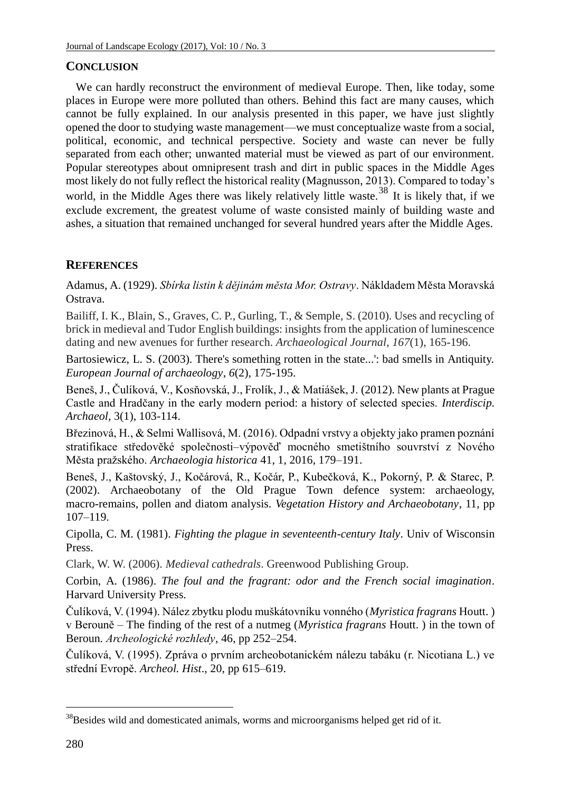## **CONCLUSION**

We can hardly reconstruct the environment of medieval Europe. Then, like today, some places in Europe were more polluted than others. Behind this fact are many causes, which cannot be fully explained. In our analysis presented in this paper, we have just slightly opened the door to studying waste management—we must conceptualize waste from a social, political, economic, and technical perspective. Society and waste can never be fully separated from each other; unwanted material must be viewed as part of our environment. Popular stereotypes about omnipresent trash and dirt in public spaces in the Middle Ages most likely do not fully reflect the historical reality (Magnusson, 2013). Compared to today's world, in the Middle Ages there was likely relatively little waste.<sup>38</sup> It is likely that, if we exclude excrement, the greatest volume of waste consisted mainly of building waste and ashes, a situation that remained unchanged for several hundred years after the Middle Ages.

## **REFERENCES**

Adamus, A. (1929). *Sbírka listin k dějinám města Mor. Ostravy*. Nákldadem Města Moravská Ostrava.

Bailiff, I. K., Blain, S., Graves, C. P., Gurling, T., & Semple, S. (2010). Uses and recycling of brick in medieval and Tudor English buildings: insights from the application of luminescence dating and new avenues for further research. *Archaeological Journal*, *167*(1), 165-196.

Bartosiewicz, L. S. (2003). There's something rotten in the state...': bad smells in Antiquity. *European Journal of archaeology*, *6*(2), 175-195.

Beneš, J., Čulíková, V., Kosňovská, J., Frolík, J., & Matiášek, J. (2012). New plants at Prague Castle and Hradčany in the early modern period: a history of selected species. *Interdiscip. Archaeol,* 3(1), 103-114.

Březinová, H., & Selmi Wallisová, M. (2016). Odpadní vrstvy a objekty jako pramen poznání stratifikace středověké společnosti–výpověď mocného smetištního souvrství z Nového Města pražského. *Archaeologia historica* 41, 1, 2016, 179–191.

Beneš, J., Kaštovský, J., Kočárová, R., Kočár, P., Kubečková, K., Pokorný, P. & Starec, P. (2002). Archaeobotany of the Old Prague Town defence system: archaeology, macro-remains, pollen and diatom analysis. *Vegetation History and Archaeobotany*, 11, pp 107–119.

Cipolla, C. M. (1981). *Fighting the plague in seventeenth-century Italy*. Univ of Wisconsin Press.

Clark, W. W. (2006). *Medieval cathedrals*. Greenwood Publishing Group.

Corbin, A. (1986). *The foul and the fragrant: odor and the French social imagination*. Harvard University Press.

Čulíková, V. (1994). Nález zbytku plodu muškátovníku vonného (*Myristica fragrans* Houtt. ) v Berouně – The finding of the rest of a nutmeg (*Myristica fragrans* Houtt. ) in the town of Beroun. *Archeologické rozhledy*, 46, pp 252–254.

Čulíková, V. (1995). Zpráva o prvním archeobotanickém nálezu tabáku (r. Nicotiana L.) ve střední Evropě. *Archeol. Hist*., 20, pp 615–619.

<sup>&</sup>lt;sup>38</sup>Besides wild and domesticated animals, worms and microorganisms helped get rid of it.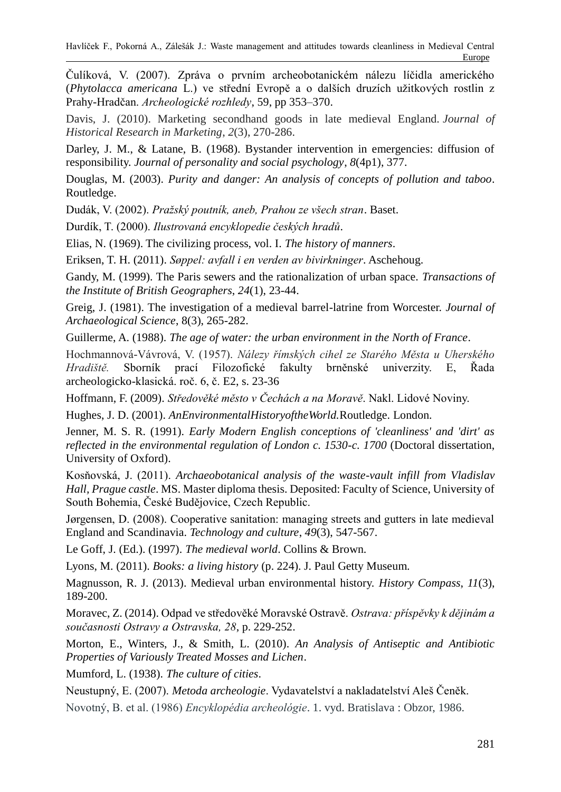Čulíková, V. (2007). Zpráva o prvním archeobotanickém nálezu líčidla amerického (*Phytolacca americana* L.) ve střední Evropě a o dalších druzích užitkových rostlin z Prahy-Hradčan. *Archeologické rozhledy*, 59, pp 353–370.

Davis, J. (2010). Marketing secondhand goods in late medieval England. *Journal of Historical Research in Marketing*, *2*(3), 270-286.

Darley, J. M., & Latane, B. (1968). Bystander intervention in emergencies: diffusion of responsibility. *Journal of personality and social psychology*, *8*(4p1), 377.

Douglas, M. (2003). *Purity and danger: An analysis of concepts of pollution and taboo*. Routledge.

Dudák, V. (2002). *Pražský poutník, aneb, Prahou ze všech stran*. Baset.

Durdík, T. (2000). *Ilustrovaná encyklopedie českých hradů*.

Elias, N. (1969). The civilizing process, vol. I. *The history of manners*.

Eriksen, T. H. (2011). *Søppel: avfall i en verden av bivirkninger*. Aschehoug.

Gandy, M. (1999). The Paris sewers and the rationalization of urban space. *Transactions of the Institute of British Geographers*, *24*(1), 23-44.

Greig, J. (1981). The investigation of a medieval barrel-latrine from Worcester. *Journal of Archaeological Science*, 8(3), 265-282.

Guillerme, A. (1988). *The age of water: the urban environment in the North of France*.

Hochmannová-Vávrová, V. (1957). *Nálezy římských cihel ze Starého Města u Uherského Hradiště.* Sborník prací Filozofické fakulty brněnské univerzity. E, Řada archeologicko-klasická. roč. 6, č. E2, s. 23-36

Hoffmann, F. (2009). *Středověké město v Čechách a na Moravě*. Nakl. Lidové Noviny.

Hughes, J. D. (2001). *AnEnvironmentalHistoryoftheWorld.*Routledge. London.

Jenner, M. S. R. (1991). *Early Modern English conceptions of 'cleanliness' and 'dirt' as reflected in the environmental regulation of London c. 1530-c. 1700 (Doctoral dissertation,* University of Oxford).

Kosňovská, J. (2011). *Archaeobotanical analysis of the waste-vault infill from Vladislav Hall, Prague castle*. MS. Master diploma thesis. Deposited: Faculty of Science, University of South Bohemia, České Budějovice, Czech Republic.

Jørgensen, D. (2008). Cooperative sanitation: managing streets and gutters in late medieval England and Scandinavia. *Technology and culture*, *49*(3), 547-567.

Le Goff, J. (Ed.). (1997). *The medieval world*. Collins & Brown.

Lyons, M. (2011). *Books: a living history* (p. 224). J. Paul Getty Museum.

Magnusson, R. J. (2013). Medieval urban environmental history. *History Compass*, *11*(3), 189-200.

Moravec, Z. (2014). Odpad ve středověké Moravské Ostravě. *Ostrava: příspěvky k dějinám a současnosti Ostravy a Ostravska, 28*, p. 229-252.

Morton, E., Winters, J., & Smith, L. (2010). *An Analysis of Antiseptic and Antibiotic Properties of Variously Treated Mosses and Lichen*.

Mumford, L. (1938). *The culture of cities*.

Neustupný, E. (2007). *Metoda archeologie*. Vydavatelství a nakladatelství Aleš Čeněk.

Novotný, B. et al. (1986) *Encyklopédia archeológie*. 1. vyd. Bratislava : Obzor, 1986.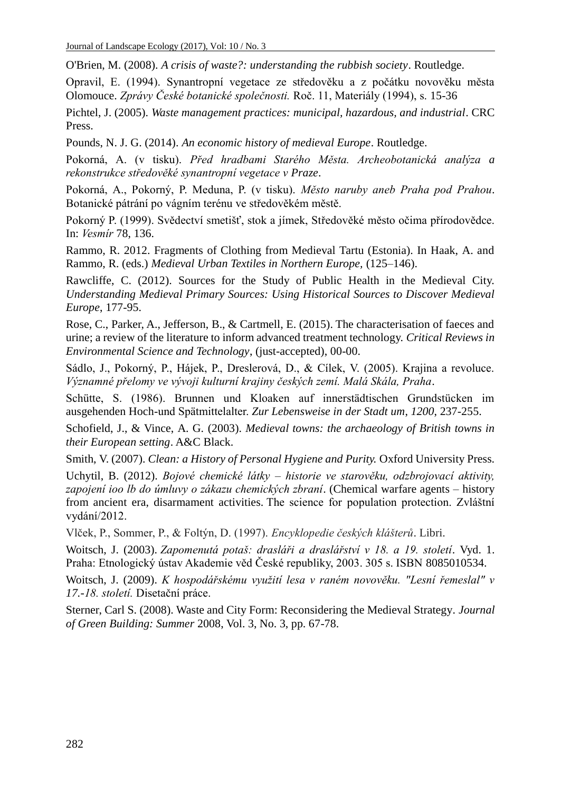O'Brien, M. (2008). *A crisis of waste?: understanding the rubbish society*. Routledge.

Opravil, E. (1994). Synantropní vegetace ze středověku a z počátku novověku města Olomouce. *Zprávy České botanické společnosti.* Roč. 11, Materiály (1994), s. 15-36

Pichtel, J. (2005). *Waste management practices: municipal, hazardous, and industrial*. CRC Press.

Pounds, N. J. G. (2014). *An economic history of medieval Europe*. Routledge.

Pokorná, A. (v tisku). *Před hradbami Starého Města. Archeobotanická analýza a rekonstrukce středověké synantropní vegetace v Praze*.

Pokorná, A., Pokorný, P. Meduna, P. (v tisku). *Město naruby aneb Praha pod Prahou*. Botanické pátrání po vágním terénu ve středověkém městě.

Pokorný P. (1999). Svědectví smetišť, stok a jímek, Středověké město očima přírodovědce. In: *Vesmír* 78, 136.

Rammo, R. 2012. Fragments of Clothing from Medieval Tartu (Estonia). In Haak, A. and Rammo, R. (eds.) *Medieval Urban Textiles in Northern Europe,* (125–146).

Rawcliffe, C. (2012). Sources for the Study of Public Health in the Medieval City. *Understanding Medieval Primary Sources: Using Historical Sources to Discover Medieval Europe*, 177-95.

Rose, C., Parker, A., Jefferson, B., & Cartmell, E. (2015). The characterisation of faeces and urine; a review of the literature to inform advanced treatment technology. *Critical Reviews in Environmental Science and Technology*, (just-accepted), 00-00.

Sádlo, J., Pokorný, P., Hájek, P., Dreslerová, D., & Cílek, V. (2005). Krajina a revoluce. *Významné přelomy ve vývoji kulturní krajiny českých zemí. Malá Skála, Praha*.

Schütte, S. (1986). Brunnen und Kloaken auf innerstädtischen Grundstücken im ausgehenden Hoch-und Spätmittelalter. *Zur Lebensweise in der Stadt um*, *1200*, 237-255.

Schofield, J., & Vince, A. G. (2003). *Medieval towns: the archaeology of British towns in their European setting*. A&C Black.

Smith, V. (2007). *Clean: a History of Personal Hygiene and Purity.* Oxford University Press.

Uchytil, B. (2012). *Bojové chemické látky – historie ve starověku, odzbrojovací aktivity, zapojení ioo lb do úmluvy o zákazu chemických zbraní*. (Chemical warfare agents – history from ancient era, disarmament activities. The science for population protection. Zvláštní vydání/2012.

Vlček, P., Sommer, P., & Foltýn, D. (1997). *Encyklopedie českých klášterů*. Libri.

Woitsch, J. (2003). *Zapomenutá potaš: drasláři a draslářství v 18. a 19. století*. Vyd. 1. Praha: Etnologický ústav Akademie věd České republiky, 2003. 305 s. ISBN 8085010534.

Woitsch, J. (2009). *K hospodářskému využití lesa v raném novověku. "Lesní řemeslal" v 17.-18. století.* Disetační práce.

Sterner, Carl S. (2008). Waste and City Form: Reconsidering the Medieval Strategy*. Journal of Green Building: Summer* 2008, Vol. 3, No. 3, pp. 67-78.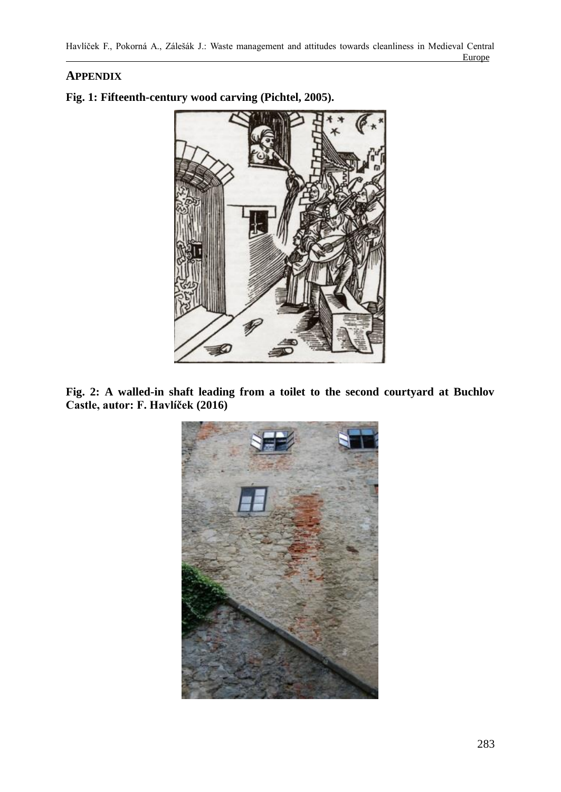# **APPENDIX**



**Fig. 1: Fifteenth-century wood carving (Pichtel, 2005).**

**Fig. 2: A walled-in shaft leading from a toilet to the second courtyard at Buchlov Castle, autor: F. Havlíček (2016)**

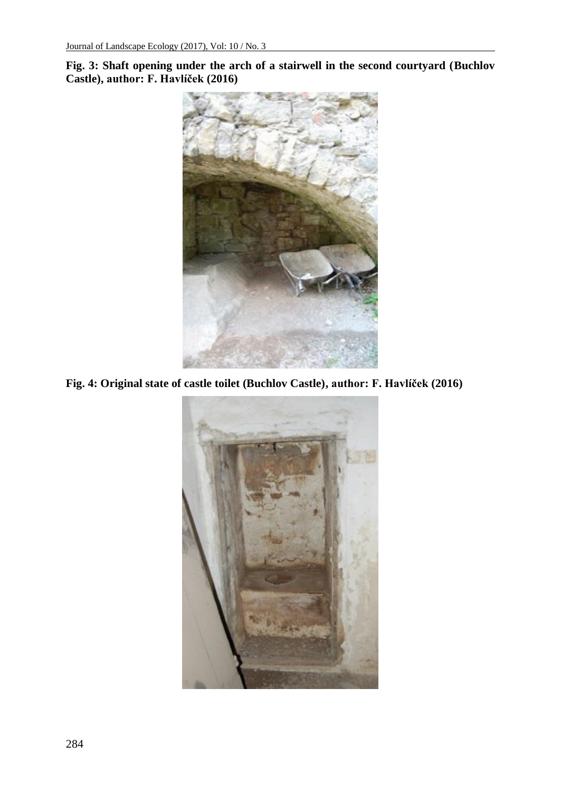**Fig. 3: Shaft opening under the arch of a stairwell in the second courtyard (Buchlov Castle), author: F. Havlíček (2016)**



**Fig. 4: Original state of castle toilet (Buchlov Castle), author: F. Havlíček (2016)**

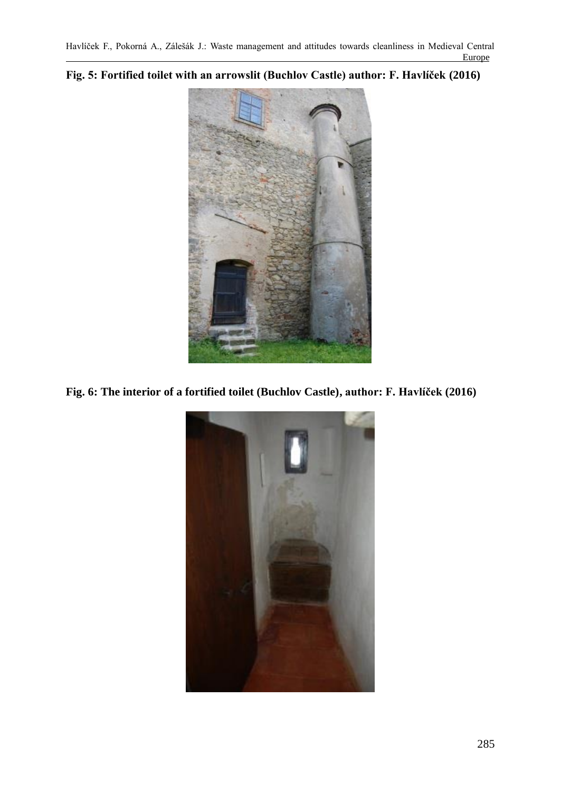**Fig. 5: Fortified toilet with an arrowslit (Buchlov Castle) author: F. Havlíček (2016)**



**Fig. 6: The interior of a fortified toilet (Buchlov Castle), author: F. Havlíček (2016)**

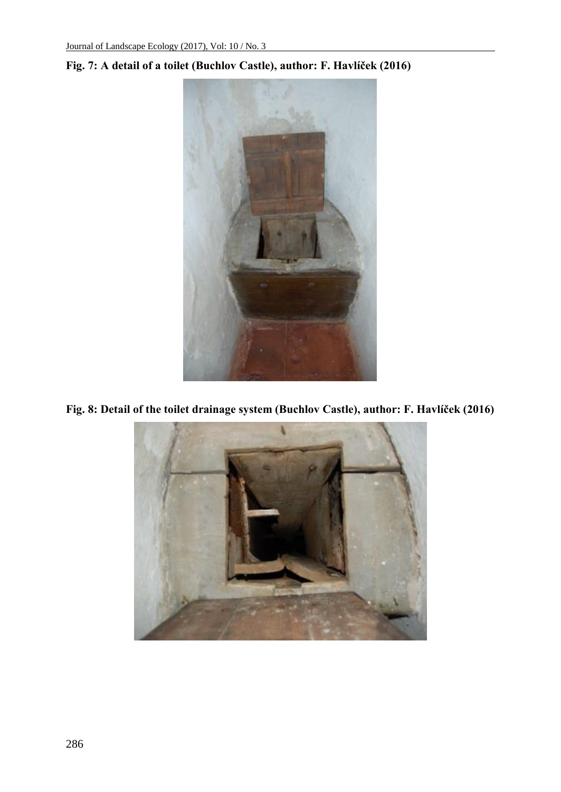

# **Fig. 7: A detail of a toilet (Buchlov Castle), author: F. Havlíček (2016)**

**Fig. 8: Detail of the toilet drainage system (Buchlov Castle), author: F. Havlíček (2016)**